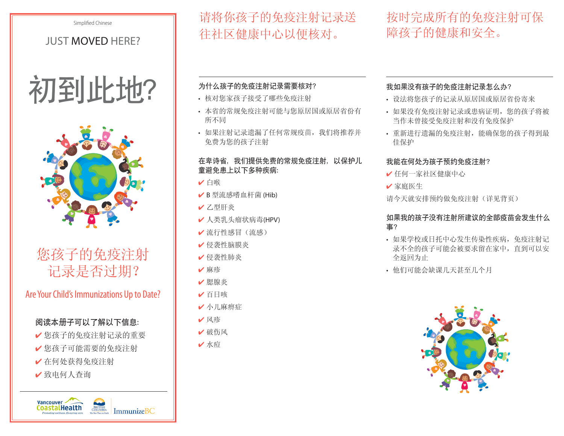Simplified Chinese

## Just Moved Here?





# 您孩子的免疫注射 记录是否过期?

## Are Your Child's Immunizations Up to Date?

## 阅读本册子可以了解以下信息:

- 4 您孩子的免疫注射记录的重要
- 4 您孩子可能需要的免疫注射
- 4 在何处获得免疫注射
- 4 致电何人查询

请将你孩子的免疫注射记录送 往社区健康中心以便核对。

## 按时完成所有的免疫注射可保 障孩子的健康和安全。

## 为什么孩子的免疫注射记录需要核对?

- • 核对您家孩子接受了哪些免疫注射
- 本省的常规免疫注射可能与您原居国或原居省份有 所不同
- • 如果注射记录遗漏了任何常规疫苗,我们将推荐并 免费为您的孩子注射

### 在卑诗省,我们提供免费的常规免疫注射,以保护儿 童避免患上以下多种疾病:

- 4 白喉
- ✔ B 型流感嗜血杆菌 (Hib)
- 4 乙型肝炎
- ✔ 人类乳头瘤状病毒(HPV)
- 4 流行性感冒(流感)
- 4 侵袭性脑膜炎
- 4 侵袭性肺炎
- ✔麻疹
- 4 腮腺炎
- 4 百日咳
- ✔ 小儿麻痹症
- 4 风疹
- ✔ 破伤风
- 4 水痘

## 我如果没有孩子的免疫注射记录怎么办?

- • 设法将您孩子的记录从原居国或原居省份寄来
- • 如果没有免疫注射记录或患病证明,您的孩子将被 当作未曾接受免疫注射和没有免疫保护
- • 重新进行遗漏的免疫注射,能确保您的孩子得到最 佳保护

## 我能在何处为孩子预约免疫注射?

- 4 任何一家社区健康中心
- ✔ 家庭医生

请今天就安排预约做免疫注射(详见背页)

### 如果我的孩子没有注射所建议的全部疫苗会发生什么 事?

- • 如果学校或日托中心发生传染性疾病,免疫注射记 录不全的孩子可能会被要求留在家中,直到可以安 全返回为止
- • 他们可能会缺课几天甚至几个月